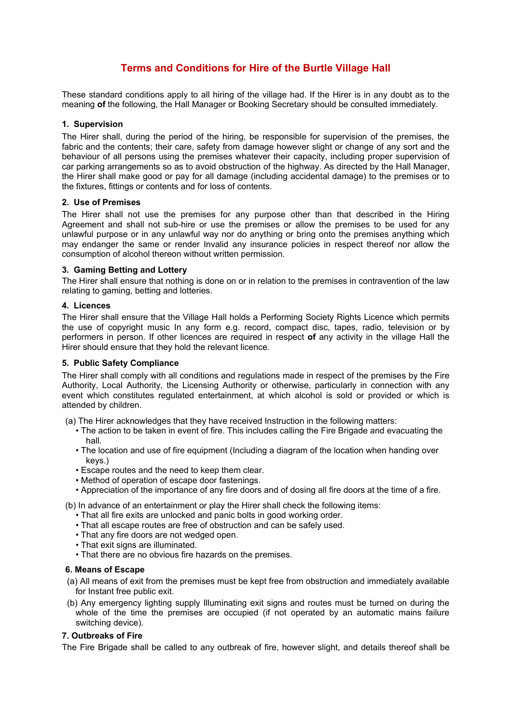# **Terms and Conditions for Hire of the Burtle Village Hall**

These standard conditions apply to all hiring of the village had. If the Hirer is in any doubt as to the meaning **of** the following, the Hall Manager or Booking Secretary should be consulted immediately.

# **1. Supervision**

The Hirer shall, during the period of the hiring, be responsible for supervision of the premises, the fabric and the contents; their care, safety from damage however slight or change of any sort and the behaviour of all persons using the premises whatever their capacity, including proper supervision of car parking arrangements so as to avoid obstruction of the highway. As directed by the Hall Manager, the Hirer shall make good or pay for all damage (including accidental damage) to the premises or to the fixtures, fittings or contents and for loss of contents.

#### **2. Use of Premises**

The Hirer shall not use the premises for any purpose other than that described in the Hiring Agreement and shall not sub-hire or use the premises or allow the premises to be used for any unlawful purpose or in any unlawful way nor do anything or bring onto the premises anything which may endanger the same or render Invalid any insurance policies in respect thereof nor allow the consumption of alcohol thereon without written permission.

# **3. Gaming Betting and Lottery**

The Hirer shall ensure that nothing is done on or in relation to the premises in contravention of the law relating to gaming, betting and lotteries.

# **4. Licences**

The Hirer shall ensure that the Village Hall holds a Performing Society Rights Licence which permits the use of copyright music In any form e.g. record, compact disc, tapes, radio, television or by performers in person. If other licences are required in respect **of** any activity in the village Hall the Hirer should ensure that they hold the relevant licence.

# **5. Public Safety Compliance**

The Hirer shall comply with all conditions and regulations made in respect of the premises by the Fire Authority, Local Authority, the Licensing Authority or otherwise, particularly in connection with any event which constitutes regulated entertainment, at which alcohol is sold or provided or which is attended by children.

(a) The Hirer acknowledges that they have received Instruction in the following matters:

- The action to be taken in event of fire. This includes calling the Fire Brigade and evacuating the hall.
- The location and use of fire equipment (Including a diagram of the location when handing over keys.)
- Escape routes and the need to keep them clear.
- Method of operation of escape door fastenings.
- Appreciation of the importance of any fire doors and of dosing all fire doors at the time of a fire.

(b) In advance of an entertainment or play the Hirer shall check the following items:

- That all fire exits are unlocked and panic bolts in good working order.
- That all escape routes are free of obstruction and can be safely used.
- That any fire doors are not wedged open.
- That exit signs are illuminated.
- That there are no obvious fire hazards on the premises.

# **6. Means of Escape**

- (a) All means of exit from the premises must be kept free from obstruction and immediately available for Instant free public exit.
- (b) Any emergency lighting supply Illuminating exit signs and routes must be turned on during the whole of the time the premises are occupied (if not operated by an automatic mains failure switching device).

# **7. Outbreaks of Fire**

The Fire Brigade shall be called to any outbreak of fire, however slight, and details thereof shall be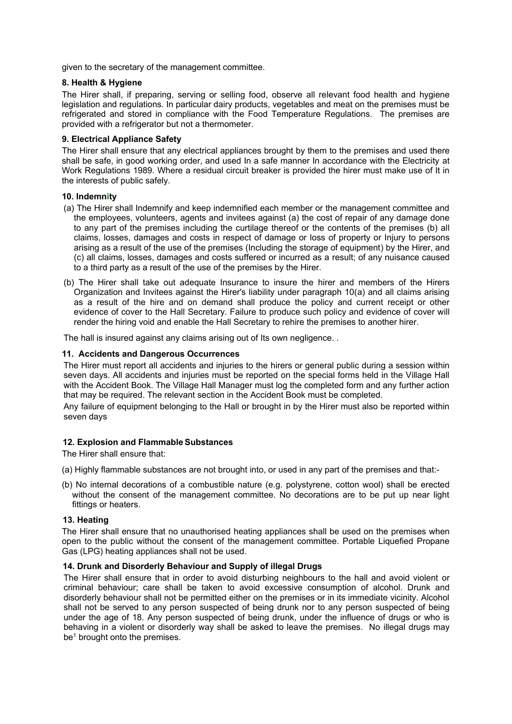given to the secretary of the management committee.

# **8. Health & Hygiene**

The Hirer shall, if preparing, serving or selling food, observe all relevant food health and hygiene legislation and regulations. In particular dairy products, vegetables and meat on the premises must be refrigerated and stored in compliance with the Food Temperature Regulations. The premises are provided with a refrigerator but not a thermometer.

# **9. Electrical Appliance Safety**

The Hirer shall ensure that any electrical appliances brought by them to the premises and used there shall be safe, in good working order, and used In a safe manner In accordance with the Electricity at Work Regulations 1989. Where a residual circuit breaker is provided the hirer must make use of It in the interests of public safely.

# **10. Indemnity**

- (a) The Hirer shall Indemnify and keep indemnified each member or the management committee and the employees, volunteers, agents and invitees against (a) the cost of repair of any damage done to any part of the premises including the curtilage thereof or the contents of the premises (b) all claims, losses, damages and costs in respect of damage or loss of property or Injury to persons arising as a result of the use of the premises (Including the storage of equipment) by the Hirer, and (c) all claims, losses, damages and costs suffered or incurred as a result; of any nuisance caused to a third party as a result of the use of the premises by the Hirer.
- (b) The Hirer shall take out adequate Insurance to insure the hirer and members of the Hirers Organization and Invitees against the Hirer's liability under paragraph 10(a) and all claims arising as a result of the hire and on demand shall produce the policy and current receipt or other evidence of cover to the Hall Secretary. Failure to produce such policy and evidence of cover will render the hiring void and enable the Hall Secretary to rehire the premises to another hirer.

The hall is insured against any claims arising out of Its own negligence..

# **11. Accidents and Dangerous Occurrences**

The Hirer must report all accidents and injuries to the hirers or general public during a session within seven days. All accidents and injuries must be reported on the special forms held in the Village Hall with the Accident Book. The Village Hall Manager must log the completed form and any further action that may be required. The relevant section in the Accident Book must be completed.

Any failure of equipment belonging to the Hall or brought in by the Hirer must also be reported within seven days

# **12. Explosion and Flammable Substances**

The Hirer shall ensure that:

- (a) Highly flammable substances are not brought into, or used in any part of the premises and that:-
- (b) No internal decorations of a combustible nature (e.g. polystyrene, cotton wool) shall be erected without the consent of the management committee. No decorations are to be put up near light fittings or heaters.

#### **13. Heating**

The Hirer shall ensure that no unauthorised heating appliances shall be used on the premises when open to the public without the consent of the management committee. Portable Liquefied Propane Gas (LPG) heating appliances shall not be used.

# **14. Drunk and Disorderly Behaviour and Supply of illegal Drugs**

The Hirer shall ensure that in order to avoid disturbing neighbours to the hall and avoid violent or criminal behaviour; care shall be taken to avoid excessive consumption of alcohol. Drunk and disorderly behaviour shall not be permitted either on the premises or in its immediate vicinity. Alcohol shall not be served to any person suspected of being drunk nor to any person suspected of being under the age of 18. Any person suspected of being drunk, under the influence of drugs or who is behaving in a violent or disorderly way shall be asked to leave the premises. No illegal drugs may be<sup>1</sup> brought onto the premises.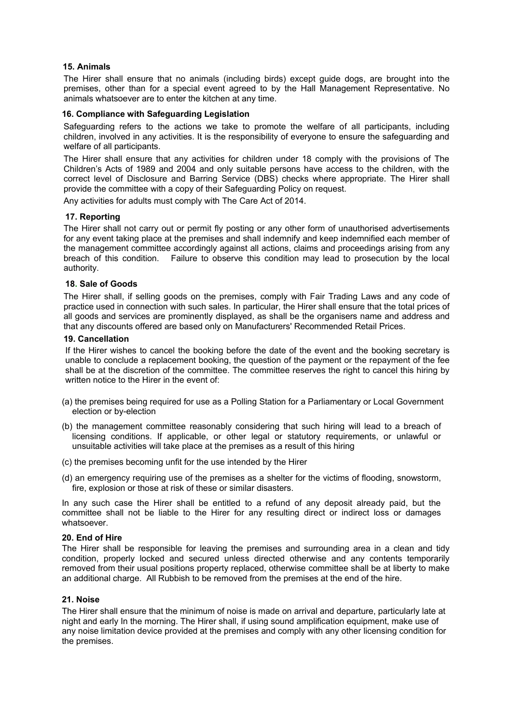# **15. Animals**

The Hirer shall ensure that no animals (including birds) except guide dogs, are brought into the premises, other than for a special event agreed to by the Hall Management Representative. No animals whatsoever are to enter the kitchen at any time.

# **16. Compliance with Safeguarding Legislation**

Safeguarding refers to the actions we take to promote the welfare of all participants, including children, involved in any activities. It is the responsibility of everyone to ensure the safeguarding and welfare of all participants.

The Hirer shall ensure that any activities for children under 18 comply with the provisions of The Children's Acts of 1989 and 2004 and only suitable persons have access to the children, with the correct level of Disclosure and Barring Service (DBS) checks where appropriate. The Hirer shall provide the committee with a copy of their Safeguarding Policy on request.

Any activities for adults must comply with The Care Act of 2014.

# **17. Reporting**

The Hirer shall not carry out or permit fly posting or any other form of unauthorised advertisements for any event taking place at the premises and shall indemnify and keep indemnified each member of the management committee accordingly against all actions, claims and proceedings arising from any breach of this condition. Failure to observe this condition may lead to prosecution by the local authority.

# **18. Sale of Goods**

The Hirer shall, if selling goods on the premises, comply with Fair Trading Laws and any code of practice used in connection with such sales. In particular, the Hirer shall ensure that the total prices of all goods and services are prominently displayed, as shall be the organisers name and address and that any discounts offered are based only on Manufacturers' Recommended Retail Prices.

#### **19. Cancellation**

If the Hirer wishes to cancel the booking before the date of the event and the booking secretary is unable to conclude a replacement booking, the question of the payment or the repayment of the fee shall be at the discretion of the committee. The committee reserves the right to cancel this hiring by written notice to the Hirer in the event of:

- (a) the premises being required for use as a Polling Station for a Parliamentary or Local Government election or by-election
- (b) the management committee reasonably considering that such hiring will lead to a breach of licensing conditions. If applicable, or other legal or statutory requirements, or unlawful or unsuitable activities will take place at the premises as a result of this hiring
- (c) the premises becoming unfit for the use intended by the Hirer
- (d) an emergency requiring use of the premises as a shelter for the victims of flooding, snowstorm, fire, explosion or those at risk of these or similar disasters.

In any such case the Hirer shall be entitled to a refund of any deposit already paid, but the committee shall not be liable to the Hirer for any resulting direct or indirect loss or damages whatsoever.

#### **20. End of Hire**

The Hirer shall be responsible for leaving the premises and surrounding area in a clean and tidy condition, properly locked and secured unless directed otherwise and any contents temporarily removed from their usual positions property replaced, otherwise committee shall be at liberty to make an additional charge. All Rubbish to be removed from the premises at the end of the hire.

## **21. Noise**

The Hirer shall ensure that the minimum of noise is made on arrival and departure, particularly late at night and early In the morning. The Hirer shall, if using sound amplification equipment, make use of any noise limitation device provided at the premises and comply with any other licensing condition for the premises.